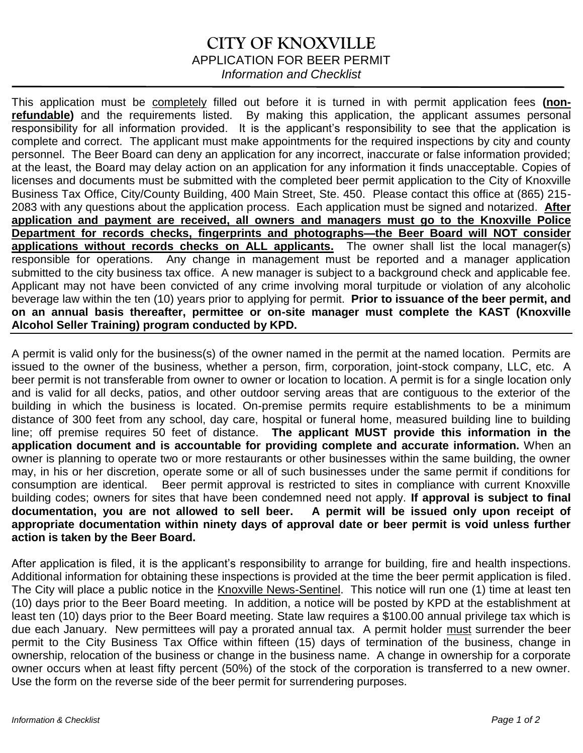## **CITY OF KNOXVILLE** APPLICATION FOR BEER PERMIT *Information and Checklist*

This application must be completely filled out before it is turned in with permit application fees **(nonrefundable)** and the requirements listed. By making this application, the applicant assumes personal responsibility for all information provided. It is the applicant's responsibility to see that the application is complete and correct. The applicant must make appointments for the required inspections by city and county personnel. The Beer Board can deny an application for any incorrect, inaccurate or false information provided; at the least, the Board may delay action on an application for any information it finds unacceptable. Copies of licenses and documents must be submitted with the completed beer permit application to the City of Knoxville Business Tax Office, City/County Building, 400 Main Street, Ste. 450. Please contact this office at (865) 215- 2083 with any questions about the application process. Each application must be signed and notarized. **After application and payment are received, all owners and managers must go to the Knoxville Police Department for records checks, fingerprints and photographs—the Beer Board will NOT consider applications without records checks on ALL applicants.** The owner shall list the local manager(s) responsible for operations. Any change in management must be reported and a manager application submitted to the city business tax office. A new manager is subject to a background check and applicable fee. Applicant may not have been convicted of any crime involving moral turpitude or violation of any alcoholic beverage law within the ten (10) years prior to applying for permit. **Prior to issuance of the beer permit, and on an annual basis thereafter, permittee or on-site manager must complete the KAST (Knoxville Alcohol Seller Training) program conducted by KPD.**

A permit is valid only for the business(s) of the owner named in the permit at the named location. Permits are issued to the owner of the business, whether a person, firm, corporation, joint-stock company, LLC, etc. A beer permit is not transferable from owner to owner or location to location. A permit is for a single location only and is valid for all decks, patios, and other outdoor serving areas that are contiguous to the exterior of the building in which the business is located. On-premise permits require establishments to be a minimum distance of 300 feet from any school, day care, hospital or funeral home, measured building line to building line; off premise requires 50 feet of distance. **The applicant MUST provide this information in the application document and is accountable for providing complete and accurate information.** When an owner is planning to operate two or more restaurants or other businesses within the same building, the owner may, in his or her discretion, operate some or all of such businesses under the same permit if conditions for consumption are identical. Beer permit approval is restricted to sites in compliance with current Knoxville building codes; owners for sites that have been condemned need not apply. **If approval is subject to final documentation, you are not allowed to sell beer. A permit will be issued only upon receipt of appropriate documentation within ninety days of approval date or beer permit is void unless further action is taken by the Beer Board.** 

After application is filed, it is the applicant's responsibility to arrange for building, fire and health inspections. Additional information for obtaining these inspections is provided at the time the beer permit application is filed. The City will place a public notice in the Knoxville News-Sentinel. This notice will run one (1) time at least ten (10) days prior to the Beer Board meeting. In addition, a notice will be posted by KPD at the establishment at least ten (10) days prior to the Beer Board meeting. State law requires a \$100.00 annual privilege tax which is due each January. New permittees will pay a prorated annual tax. A permit holder must surrender the beer permit to the City Business Tax Office within fifteen (15) days of termination of the business, change in ownership, relocation of the business or change in the business name. A change in ownership for a corporate owner occurs when at least fifty percent (50%) of the stock of the corporation is transferred to a new owner. Use the form on the reverse side of the beer permit for surrendering purposes.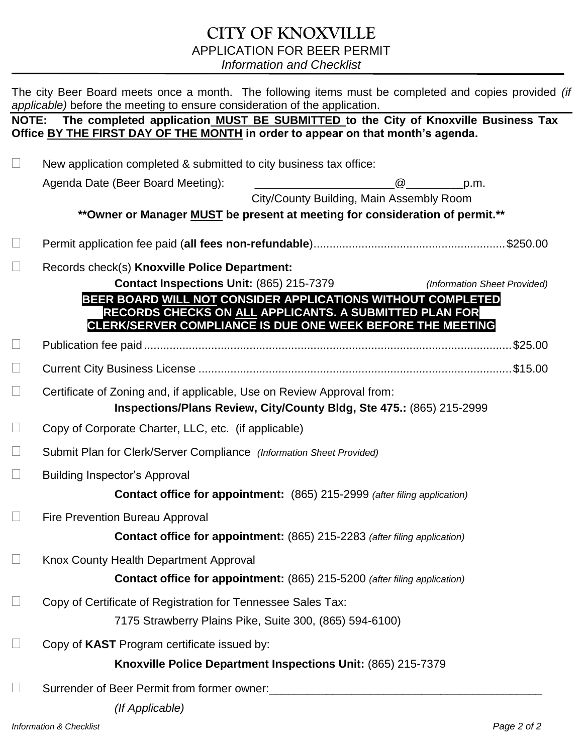## **CITY OF KNOXVILLE** APPLICATION FOR BEER PERMIT *Information and Checklist*

The city Beer Board meets once a month. The following items must be completed and copies provided *(if applicable)* before the meeting to ensure consideration of the application.

#### **NOTE: The completed application MUST BE SUBMITTED to the City of Knoxville Business Tax Office BY THE FIRST DAY OF THE MONTH in order to appear on that month's agenda.**

 $\Box$  New application completed & submitted to city business tax office: Agenda Date (Beer Board Meeting): \_\_\_\_\_\_\_\_\_\_\_\_\_\_\_\_\_\_\_\_\_\_@\_\_\_\_\_\_\_\_\_p.m. City/County Building, Main Assembly Room **\*\*Owner or Manager MUST be present at meeting for consideration of permit.\*\*** Permit application fee paid (**all fees non-refundable**)............................................................\$250.00 Records check(s) **Knoxville Police Department: Contact Inspections Unit:** (865) 215-7379 *(Information Sheet Provided)*  **BEER BOARD WILL NOT CONSIDER APPLICATIONS WITHOUT COMPLETED RECORDS CHECKS ON ALL APPLICANTS. A SUBMITTED PLAN FOR CLERK/SERVER COMPLIANCE IS DUE ONE WEEK BEFORE THE MEETING** Publication fee paid ...................................................................................................................\$25.00 Current City Business License ..................................................................................................\$15.00  $\Box$  Certificate of Zoning and, if applicable, Use on Review Approval from: **Inspections/Plans Review, City/County Bldg, Ste 475.:** (865) 215-2999  $\Box$  Copy of Corporate Charter, LLC, etc. (if applicable) Submit Plan for Clerk/Server Compliance *(Information Sheet Provided)*  $\Box$  Building Inspector's Approval **Contact office for appointment:** (865) 215-2999 *(after filing application)* **Example 2** Fire Prevention Bureau Approval **Contact office for appointment:** (865) 215-2283 *(after filing application)*  $\Box$  Knox County Health Department Approval **Contact office for appointment:** (865) 215-5200 *(after filing application)* □ Copy of Certificate of Registration for Tennessee Sales Tax: 7175 Strawberry Plains Pike, Suite 300, (865) 594-6100) □ Copy of **KAST** Program certificate issued by: **Knoxville Police Department Inspections Unit:** (865) 215-7379 □ Surrender of Beer Permit from former owner: *(If Applicable)*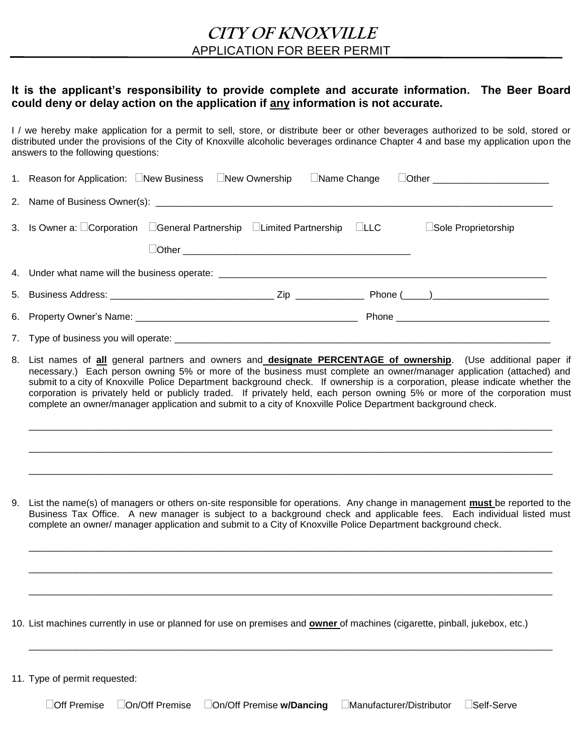#### **It is the applicant's responsibility to provide complete and accurate information. The Beer Board could deny or delay action on the application if any information is not accurate.**

I / we hereby make application for a permit to sell, store, or distribute beer or other beverages authorized to be sold, stored or distributed under the provisions of the City of Knoxville alcoholic beverages ordinance Chapter 4 and base my application upon the answers to the following questions:

| 1. Reason for Application: New Business New Ownership Name Change Dother ___________________________ |
|------------------------------------------------------------------------------------------------------|
|                                                                                                      |
| 3. Is Owner a: DCorporation DGeneral Partnership DLimited Partnership DLLC<br>□Sole Proprietorship   |
|                                                                                                      |
|                                                                                                      |
|                                                                                                      |
|                                                                                                      |
|                                                                                                      |

8. List names of **all** general partners and owners and **designate PERCENTAGE of ownership**. (Use additional paper if necessary.) Each person owning 5% or more of the business must complete an owner/manager application (attached) and submit to a city of Knoxville Police Department background check. If ownership is a corporation, please indicate whether the corporation is privately held or publicly traded. If privately held, each person owning 5% or more of the corporation must complete an owner/manager application and submit to a city of Knoxville Police Department background check.

\_\_\_\_\_\_\_\_\_\_\_\_\_\_\_\_\_\_\_\_\_\_\_\_\_\_\_\_\_\_\_\_\_\_\_\_\_\_\_\_\_\_\_\_\_\_\_\_\_\_\_\_\_\_\_\_\_\_\_\_\_\_\_\_\_\_\_\_\_\_\_\_\_\_\_\_\_\_\_\_\_\_\_\_\_\_\_\_\_\_\_\_\_\_\_\_\_\_\_

\_\_\_\_\_\_\_\_\_\_\_\_\_\_\_\_\_\_\_\_\_\_\_\_\_\_\_\_\_\_\_\_\_\_\_\_\_\_\_\_\_\_\_\_\_\_\_\_\_\_\_\_\_\_\_\_\_\_\_\_\_\_\_\_\_\_\_\_\_\_\_\_\_\_\_\_\_\_\_\_\_\_\_\_\_\_\_\_\_\_\_\_\_\_\_\_\_\_\_

\_\_\_\_\_\_\_\_\_\_\_\_\_\_\_\_\_\_\_\_\_\_\_\_\_\_\_\_\_\_\_\_\_\_\_\_\_\_\_\_\_\_\_\_\_\_\_\_\_\_\_\_\_\_\_\_\_\_\_\_\_\_\_\_\_\_\_\_\_\_\_\_\_\_\_\_\_\_\_\_\_\_\_\_\_\_\_\_\_\_\_\_\_\_\_\_\_\_\_

9. List the name(s) of managers or others on-site responsible for operations. Any change in management **must** be reported to the Business Tax Office. A new manager is subject to a background check and applicable fees. Each individual listed must complete an owner/ manager application and submit to a City of Knoxville Police Department background check.

\_\_\_\_\_\_\_\_\_\_\_\_\_\_\_\_\_\_\_\_\_\_\_\_\_\_\_\_\_\_\_\_\_\_\_\_\_\_\_\_\_\_\_\_\_\_\_\_\_\_\_\_\_\_\_\_\_\_\_\_\_\_\_\_\_\_\_\_\_\_\_\_\_\_\_\_\_\_\_\_\_\_\_\_\_\_\_\_\_\_\_\_\_\_\_\_\_\_\_

\_\_\_\_\_\_\_\_\_\_\_\_\_\_\_\_\_\_\_\_\_\_\_\_\_\_\_\_\_\_\_\_\_\_\_\_\_\_\_\_\_\_\_\_\_\_\_\_\_\_\_\_\_\_\_\_\_\_\_\_\_\_\_\_\_\_\_\_\_\_\_\_\_\_\_\_\_\_\_\_\_\_\_\_\_\_\_\_\_\_\_\_\_\_\_\_\_\_\_

\_\_\_\_\_\_\_\_\_\_\_\_\_\_\_\_\_\_\_\_\_\_\_\_\_\_\_\_\_\_\_\_\_\_\_\_\_\_\_\_\_\_\_\_\_\_\_\_\_\_\_\_\_\_\_\_\_\_\_\_\_\_\_\_\_\_\_\_\_\_\_\_\_\_\_\_\_\_\_\_\_\_\_\_\_\_\_\_\_\_\_\_\_\_\_\_\_\_\_

\_\_\_\_\_\_\_\_\_\_\_\_\_\_\_\_\_\_\_\_\_\_\_\_\_\_\_\_\_\_\_\_\_\_\_\_\_\_\_\_\_\_\_\_\_\_\_\_\_\_\_\_\_\_\_\_\_\_\_\_\_\_\_\_\_\_\_\_\_\_\_\_\_\_\_\_\_\_\_\_\_\_\_\_\_\_\_\_\_\_\_\_\_\_\_\_\_\_\_

10. List machines currently in use or planned for use on premises and **owner** of machines (cigarette, pinball, jukebox, etc.)

11. Type of permit requested:

Off Premise On/Off Premise On/Off Premise **w/Dancing** Manufacturer/Distributor Self-Serve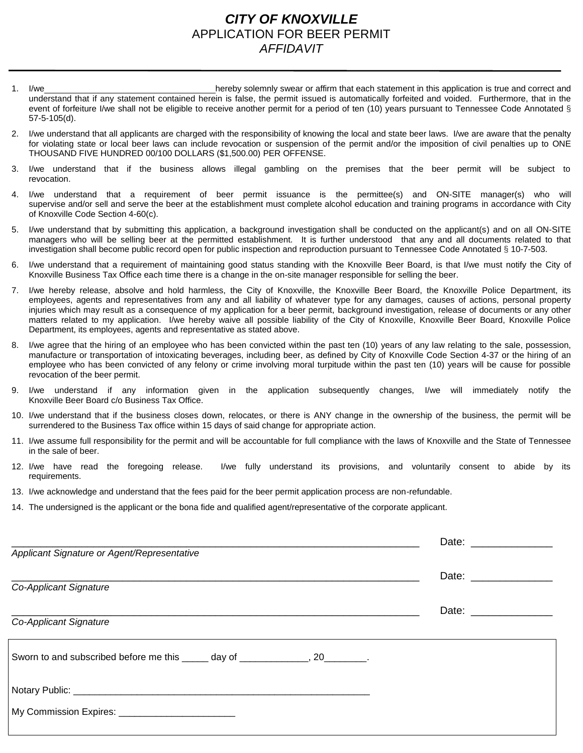## *CITY OF KNOXVILLE* APPLICATION FOR BEER PERMIT *AFFIDAVIT*

- 1. I/we hereby solemnly swear or affirm that each statement in this application is true and correct and understand that if any statement contained herein is false, the permit issued is automatically forfeited and voided. Furthermore, that in the event of forfeiture I/we shall not be eligible to receive another permit for a period of ten (10) years pursuant to Tennessee Code Annotated § 57-5-105(d).
- 2. I/we understand that all applicants are charged with the responsibility of knowing the local and state beer laws. I/we are aware that the penalty for violating state or local beer laws can include revocation or suspension of the permit and/or the imposition of civil penalties up to ONE THOUSAND FIVE HUNDRED 00/100 DOLLARS (\$1,500.00) PER OFFENSE.
- 3. I/we understand that if the business allows illegal gambling on the premises that the beer permit will be subject to revocation.
- 4. I/we understand that a requirement of beer permit issuance is the permittee(s) and ON-SITE manager(s) who will supervise and/or sell and serve the beer at the establishment must complete alcohol education and training programs in accordance with City of Knoxville Code Section 4-60(c).
- 5. I/we understand that by submitting this application, a background investigation shall be conducted on the applicant(s) and on all ON-SITE managers who will be selling beer at the permitted establishment. It is further understood that any and all documents related to that investigation shall become public record open for public inspection and reproduction pursuant to Tennessee Code Annotated § 10-7-503.
- 6. I/we understand that a requirement of maintaining good status standing with the Knoxville Beer Board, is that I/we must notify the City of Knoxville Business Tax Office each time there is a change in the on-site manager responsible for selling the beer.
- 7. I/we hereby release, absolve and hold harmless, the City of Knoxville, the Knoxville Beer Board, the Knoxville Police Department, its employees, agents and representatives from any and all liability of whatever type for any damages, causes of actions, personal property injuries which may result as a consequence of my application for a beer permit, background investigation, release of documents or any other matters related to my application. I/we hereby waive all possible liability of the City of Knoxville, Knoxville Beer Board, Knoxville Police Department, its employees, agents and representative as stated above.
- 8. I/we agree that the hiring of an employee who has been convicted within the past ten (10) years of any law relating to the sale, possession, manufacture or transportation of intoxicating beverages, including beer, as defined by City of Knoxville Code Section 4-37 or the hiring of an employee who has been convicted of any felony or crime involving moral turpitude within the past ten (10) years will be cause for possible revocation of the beer permit.
- 9. I/we understand if any information given in the application subsequently changes, I/we will immediately notify the Knoxville Beer Board c/o Business Tax Office.
- 10. I/we understand that if the business closes down, relocates, or there is ANY change in the ownership of the business, the permit will be surrendered to the Business Tax office within 15 days of said change for appropriate action.
- 11. I/we assume full responsibility for the permit and will be accountable for full compliance with the laws of Knoxville and the State of Tennessee in the sale of beer.
- 12. I/we have read the foregoing release. I/we fully understand its provisions, and voluntarily consent to abide by its requirements.
- 13. I/we acknowledge and understand that the fees paid for the beer permit application process are non-refundable.
- 14. The undersigned is the applicant or the bona fide and qualified agent/representative of the corporate applicant.

|                                                                                | Date: _______________ |  |  |
|--------------------------------------------------------------------------------|-----------------------|--|--|
| Applicant Signature or Agent/Representative                                    |                       |  |  |
|                                                                                |                       |  |  |
| Co-Applicant Signature                                                         |                       |  |  |
|                                                                                |                       |  |  |
| Co-Applicant Signature                                                         |                       |  |  |
| Sworn to and subscribed before me this _____ day of _____________, 20________. |                       |  |  |
|                                                                                |                       |  |  |
|                                                                                |                       |  |  |
|                                                                                |                       |  |  |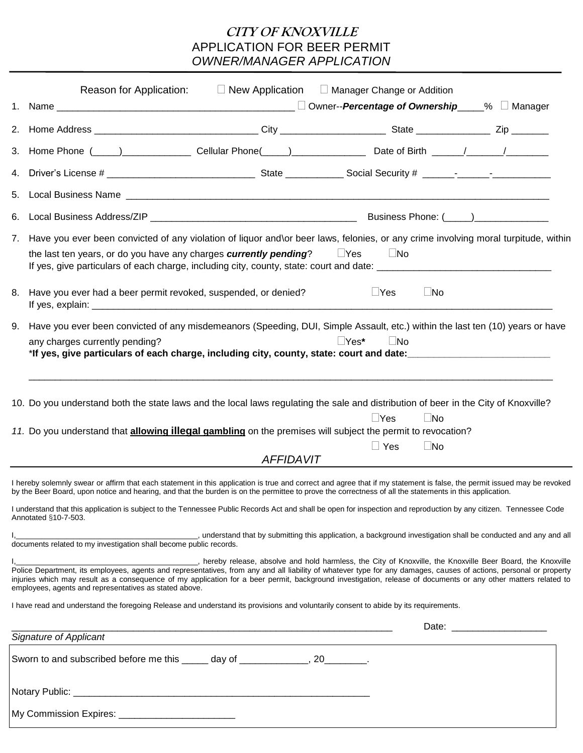## **CITY OF KNOXVILLE** APPLICATION FOR BEER PERMIT *OWNER/MANAGER APPLICATION*

| Reason for Application:                                                                                                                                                                                                                                                                                                                                                                                                                                 | $\Box$ New Application $\Box$ Manager Change or Addition |                           |              |  |
|---------------------------------------------------------------------------------------------------------------------------------------------------------------------------------------------------------------------------------------------------------------------------------------------------------------------------------------------------------------------------------------------------------------------------------------------------------|----------------------------------------------------------|---------------------------|--------------|--|
|                                                                                                                                                                                                                                                                                                                                                                                                                                                         |                                                          |                           |              |  |
|                                                                                                                                                                                                                                                                                                                                                                                                                                                         |                                                          |                           |              |  |
|                                                                                                                                                                                                                                                                                                                                                                                                                                                         |                                                          |                           |              |  |
|                                                                                                                                                                                                                                                                                                                                                                                                                                                         |                                                          |                           |              |  |
|                                                                                                                                                                                                                                                                                                                                                                                                                                                         |                                                          |                           |              |  |
|                                                                                                                                                                                                                                                                                                                                                                                                                                                         |                                                          |                           |              |  |
| 7. Have you ever been convicted of any violation of liquor and\or beer laws, felonies, or any crime involving moral turpitude, within                                                                                                                                                                                                                                                                                                                   |                                                          |                           |              |  |
| the last ten years, or do you have any charges <b>currently pending</b> ? $\Box$ Yes $\Box$ No                                                                                                                                                                                                                                                                                                                                                          |                                                          |                           |              |  |
| 8. Have you ever had a beer permit revoked, suspended, or denied?                                                                                                                                                                                                                                                                                                                                                                                       |                                                          | $\Box$ Yes                | $\square$ No |  |
| 9. Have you ever been convicted of any misdemeanors (Speeding, DUI, Simple Assault, etc.) within the last ten (10) years or have<br>any charges currently pending?<br>*If yes, give particulars of each charge, including city, county, state: court and date:                                                                                                                                                                                          |                                                          | $\Box Y$ es*<br>$\Box$ No |              |  |
| 10. Do you understand both the state laws and the local laws regulating the sale and distribution of beer in the City of Knoxville?<br>11. Do you understand that allowing illegal gambling on the premises will subject the permit to revocation?                                                                                                                                                                                                      |                                                          | $\Box$ Yes                | $\Box$ No    |  |
|                                                                                                                                                                                                                                                                                                                                                                                                                                                         |                                                          | $\Box$ Yes                | $\square$ No |  |
|                                                                                                                                                                                                                                                                                                                                                                                                                                                         | <b>AFFIDAVIT</b>                                         |                           |              |  |
| I hereby solemnly swear or affirm that each statement in this application is true and correct and agree that if my statement is false, the permit issued may be revoked<br>by the Beer Board, upon notice and hearing, and that the burden is on the permittee to prove the correctness of all the statements in this application.                                                                                                                      |                                                          |                           |              |  |
| I understand that this application is subject to the Tennessee Public Records Act and shall be open for inspection and reproduction by any citizen. Tennessee Code<br>Annotated §10-7-503.                                                                                                                                                                                                                                                              |                                                          |                           |              |  |
| I, 1. external that by submitting this application, a background investigation shall be conducted and any and all documents related to my investigation shall become public records.                                                                                                                                                                                                                                                                    |                                                          |                           |              |  |
| I, controlled to the Knoxville Beer Board, the Knoxville Police Department, its employees, agents and representatives, from any and all liability of whatever type for any damages, causes of actions, personal or property<br>injuries which may result as a consequence of my application for a beer permit, background investigation, release of documents or any other matters related to<br>employees, agents and representatives as stated above. |                                                          |                           |              |  |
| I have read and understand the foregoing Release and understand its provisions and voluntarily consent to abide by its requirements.                                                                                                                                                                                                                                                                                                                    |                                                          |                           |              |  |
| <b>Signature of Applicant</b>                                                                                                                                                                                                                                                                                                                                                                                                                           |                                                          |                           |              |  |
|                                                                                                                                                                                                                                                                                                                                                                                                                                                         |                                                          |                           |              |  |
| Sworn to and subscribed before me this ______ day of _____________, 20________.                                                                                                                                                                                                                                                                                                                                                                         |                                                          |                           |              |  |
|                                                                                                                                                                                                                                                                                                                                                                                                                                                         |                                                          |                           |              |  |
| My Commission Expires: _______________________________                                                                                                                                                                                                                                                                                                                                                                                                  |                                                          |                           |              |  |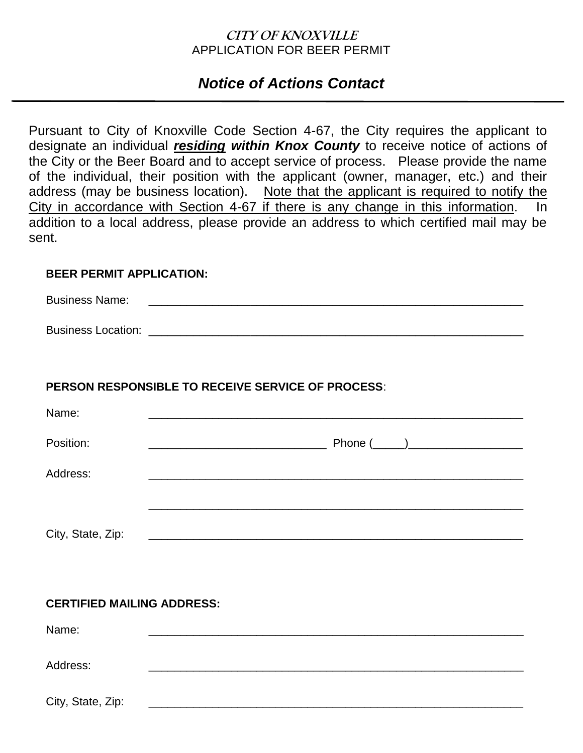## **CITY OF KNOXVILLE** APPLICATION FOR BEER PERMIT

# *Notice of Actions Contact*

Pursuant to City of Knoxville Code Section 4-67, the City requires the applicant to designate an individual *residing within Knox County* to receive notice of actions of the City or the Beer Board and to accept service of process. Please provide the name of the individual, their position with the applicant (owner, manager, etc.) and their address (may be business location). Note that the applicant is required to notify the City in accordance with Section 4-67 if there is any change in this information. In addition to a local address, please provide an address to which certified mail may be sent.

#### **BEER PERMIT APPLICATION:**

Business Name:

Business Location: \_\_\_\_\_\_\_\_\_\_\_\_\_\_\_\_\_\_\_\_\_\_\_\_\_\_\_\_\_\_\_\_\_\_\_\_\_\_\_\_\_\_\_\_\_\_\_\_\_\_\_\_\_\_\_\_\_\_\_

### **PERSON RESPONSIBLE TO RECEIVE SERVICE OF PROCESS**:

| Name:             |  |
|-------------------|--|
| Position:         |  |
| Address:          |  |
| City, State, Zip: |  |

### **CERTIFIED MAILING ADDRESS:**

| Name:             |  |  |  |
|-------------------|--|--|--|
| Address:          |  |  |  |
| City, State, Zip: |  |  |  |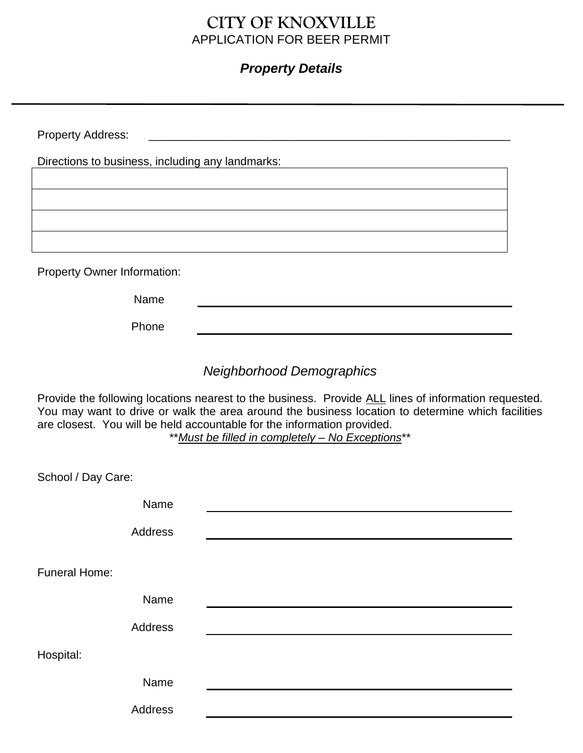## **CITY OF KNOXVILLE** APPLICATION FOR BEER PERMIT

## *Property Details*

| <b>Property Address:</b>                         |  |  |  |  |
|--------------------------------------------------|--|--|--|--|
| Directions to business, including any landmarks: |  |  |  |  |
|                                                  |  |  |  |  |
|                                                  |  |  |  |  |
|                                                  |  |  |  |  |
| <b>Property Owner Information:</b>               |  |  |  |  |
| Name                                             |  |  |  |  |
| Phone                                            |  |  |  |  |

*Neighborhood Demographics*

Provide the following locations nearest to the business. Provide ALL lines of information requested. You may want to drive or walk the area around the business location to determine which facilities are closest. You will be held accountable for the information provided.

\*\**Must be filled in completely – No Exceptions*\*\*

| School / Day Care:   |  |  |
|----------------------|--|--|
| Name                 |  |  |
| Address              |  |  |
| <b>Funeral Home:</b> |  |  |
| Name                 |  |  |
| Address              |  |  |
| Hospital:            |  |  |
| Name                 |  |  |
| Address              |  |  |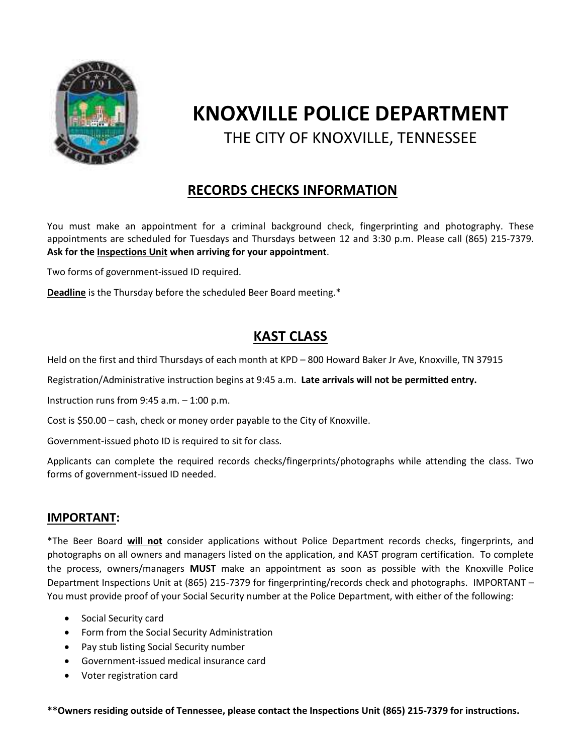

# **KNOXVILLE POLICE DEPARTMENT** THE CITY OF KNOXVILLE, TENNESSEE

# **RECORDS CHECKS INFORMATION**

You must make an appointment for a criminal background check, fingerprinting and photography. These appointments are scheduled for Tuesdays and Thursdays between 12 and 3:30 p.m. Please call (865) 215-7379. **Ask for the Inspections Unit when arriving for your appointment**.

Two forms of government-issued ID required.

**Deadline** is the Thursday before the scheduled Beer Board meeting.\*

## **KAST CLASS**

Held on the first and third Thursdays of each month at KPD – 800 Howard Baker Jr Ave, Knoxville, TN 37915

Registration/Administrative instruction begins at 9:45 a.m. **Late arrivals will not be permitted entry.** 

Instruction runs from  $9:45$  a.m.  $-1:00$  p.m.

Cost is \$50.00 – cash, check or money order payable to the City of Knoxville.

Government-issued photo ID is required to sit for class.

Applicants can complete the required records checks/fingerprints/photographs while attending the class. Two forms of government-issued ID needed.

#### **IMPORTANT:**

\*The Beer Board **will not** consider applications without Police Department records checks, fingerprints, and photographs on all owners and managers listed on the application, and KAST program certification. To complete the process, owners/managers **MUST** make an appointment as soon as possible with the Knoxville Police Department Inspections Unit at (865) 215-7379 for fingerprinting/records check and photographs. IMPORTANT – You must provide proof of your Social Security number at the Police Department, with either of the following:

- Social Security card
- Form from the Social Security Administration
- Pay stub listing Social Security number
- Government-issued medical insurance card
- Voter registration card

**\*\*Owners residing outside of Tennessee, please contact the Inspections Unit (865) 215-7379 for instructions.**